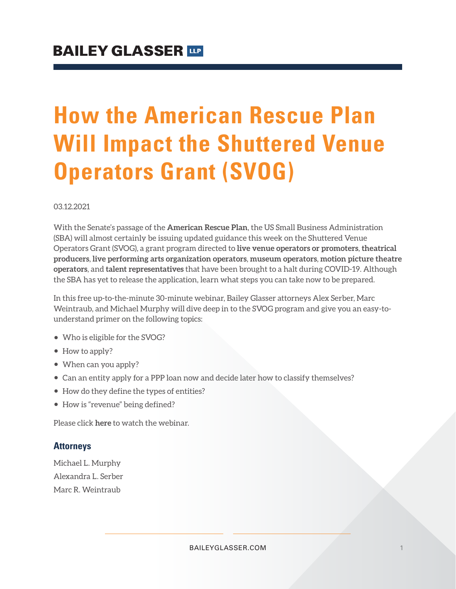## **How the American Rescue Plan Will Impact the Shuttered Venue Operators Grant (SVOG)**

03.12.2021

With the Senate's passage of the **American Rescue Plan**, the US Small Business Administration (SBA) will almost certainly be issuing updated guidance this week on the Shuttered Venue Operators Grant (SVOG), a grant program directed to **live venue operators or promoters**, **theatrical producers**, **live performing arts organization operators**, **museum operators**, **motion picture theatre operators**, and **talent representatives** that have been brought to a halt during COVID-19. Although the SBA has yet to release the application, learn what steps you can take now to be prepared.

In this free up-to-the-minute 30-minute webinar, Bailey Glasser attorneys Alex Serber, Marc Weintraub, and Michael Murphy will dive deep in to the SVOG program and give you an easy-tounderstand primer on the following topics:

- Who is eligible for the SVOG?
- How to apply?
- When can you apply?
- Can an entity apply for a PPP loan now and decide later how to classify themselves?
- How do they define the types of entities?
- How is "revenue" being defined?

Please click **here** to watch the webinar.

## **Attorneys**

Michael L. Murphy Alexandra L. Serber Marc R. Weintraub